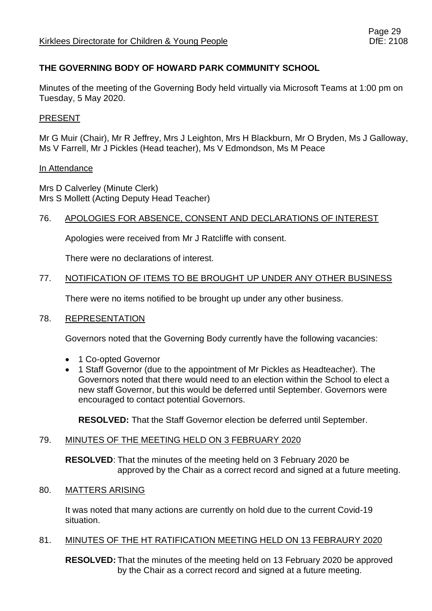## **THE GOVERNING BODY OF HOWARD PARK COMMUNITY SCHOOL**

Minutes of the meeting of the Governing Body held virtually via Microsoft Teams at 1:00 pm on Tuesday, 5 May 2020.

### PRESENT

Mr G Muir (Chair), Mr R Jeffrey, Mrs J Leighton, Mrs H Blackburn, Mr O Bryden, Ms J Galloway, Ms V Farrell, Mr J Pickles (Head teacher), Ms V Edmondson, Ms M Peace

#### In Attendance

Mrs D Calverley (Minute Clerk) Mrs S Mollett (Acting Deputy Head Teacher)

### 76. APOLOGIES FOR ABSENCE, CONSENT AND DECLARATIONS OF INTEREST

Apologies were received from Mr J Ratcliffe with consent.

There were no declarations of interest.

### 77. NOTIFICATION OF ITEMS TO BE BROUGHT UP UNDER ANY OTHER BUSINESS

There were no items notified to be brought up under any other business.

### 78. REPRESENTATION

Governors noted that the Governing Body currently have the following vacancies:

- 1 Co-opted Governor
- 1 Staff Governor (due to the appointment of Mr Pickles as Headteacher). The Governors noted that there would need to an election within the School to elect a new staff Governor, but this would be deferred until September. Governors were encouraged to contact potential Governors.

**RESOLVED:** That the Staff Governor election be deferred until September.

### 79. MINUTES OF THE MEETING HELD ON 3 FEBRUARY 2020

**RESOLVED**: That the minutes of the meeting held on 3 February 2020 be approved by the Chair as a correct record and signed at a future meeting.

### 80. MATTERS ARISING

It was noted that many actions are currently on hold due to the current Covid-19 situation.

## 81. MINUTES OF THE HT RATIFICATION MEETING HELD ON 13 FEBRAURY 2020

**RESOLVED:** That the minutes of the meeting held on 13 February 2020 be approved by the Chair as a correct record and signed at a future meeting.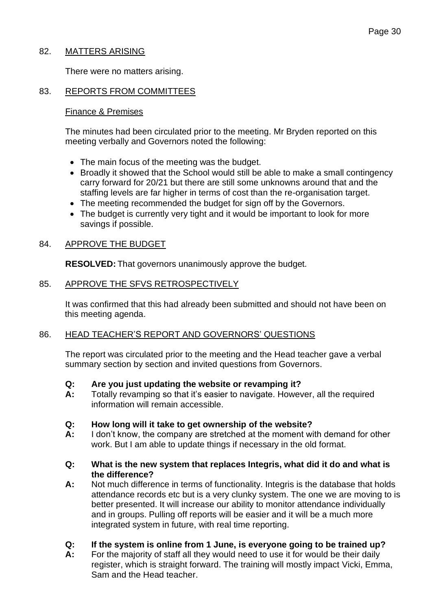### 82. MATTERS ARISING

There were no matters arising.

### 83. REPORTS FROM COMMITTEES

#### Finance & Premises

The minutes had been circulated prior to the meeting. Mr Bryden reported on this meeting verbally and Governors noted the following:

- The main focus of the meeting was the budget.
- Broadly it showed that the School would still be able to make a small contingency carry forward for 20/21 but there are still some unknowns around that and the staffing levels are far higher in terms of cost than the re-organisation target.
- The meeting recommended the budget for sign off by the Governors.
- The budget is currently very tight and it would be important to look for more savings if possible.

#### 84. APPROVE THE BUDGET

**RESOLVED:** That governors unanimously approve the budget.

#### 85. APPROVE THE SFVS RETROSPECTIVELY

It was confirmed that this had already been submitted and should not have been on this meeting agenda.

### 86. HEAD TEACHER'S REPORT AND GOVERNORS' QUESTIONS

The report was circulated prior to the meeting and the Head teacher gave a verbal summary section by section and invited questions from Governors.

- **Q: Are you just updating the website or revamping it?**
- **A:** Totally revamping so that it's easier to navigate. However, all the required information will remain accessible.
- **Q: How long will it take to get ownership of the website?**
- **A:** I don't know, the company are stretched at the moment with demand for other work. But I am able to update things if necessary in the old format.

#### **Q: What is the new system that replaces Integris, what did it do and what is the difference?**

**A:** Not much difference in terms of functionality. Integris is the database that holds attendance records etc but is a very clunky system. The one we are moving to is better presented. It will increase our ability to monitor attendance individually and in groups. Pulling off reports will be easier and it will be a much more integrated system in future, with real time reporting.

### **Q: If the system is online from 1 June, is everyone going to be trained up?**

**A:** For the majority of staff all they would need to use it for would be their daily register, which is straight forward. The training will mostly impact Vicki, Emma, Sam and the Head teacher.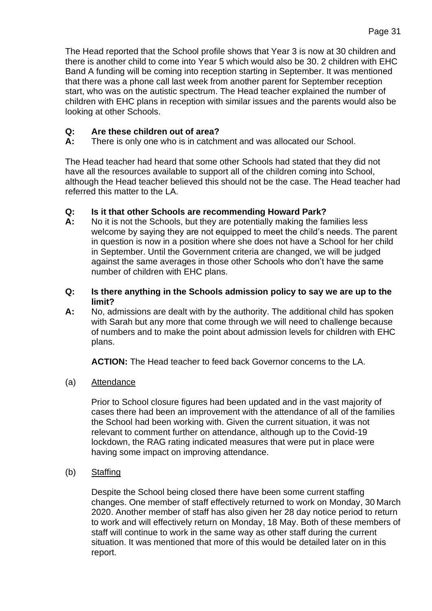The Head reported that the School profile shows that Year 3 is now at 30 children and there is another child to come into Year 5 which would also be 30. 2 children with EHC Band A funding will be coming into reception starting in September. It was mentioned that there was a phone call last week from another parent for September reception start, who was on the autistic spectrum. The Head teacher explained the number of children with EHC plans in reception with similar issues and the parents would also be looking at other Schools.

## **Q: Are these children out of area?**

**A:** There is only one who is in catchment and was allocated our School.

The Head teacher had heard that some other Schools had stated that they did not have all the resources available to support all of the children coming into School, although the Head teacher believed this should not be the case. The Head teacher had referred this matter to the LA.

## **Q: Is it that other Schools are recommending Howard Park?**

- **A:** No it is not the Schools, but they are potentially making the families less welcome by saying they are not equipped to meet the child's needs. The parent in question is now in a position where she does not have a School for her child in September. Until the Government criteria are changed, we will be judged against the same averages in those other Schools who don't have the same number of children with EHC plans.
- **Q: Is there anything in the Schools admission policy to say we are up to the limit?**
- **A:** No, admissions are dealt with by the authority. The additional child has spoken with Sarah but any more that come through we will need to challenge because of numbers and to make the point about admission levels for children with EHC plans.

**ACTION:** The Head teacher to feed back Governor concerns to the LA.

(a) Attendance

Prior to School closure figures had been updated and in the vast majority of cases there had been an improvement with the attendance of all of the families the School had been working with. Given the current situation, it was not relevant to comment further on attendance, although up to the Covid-19 lockdown, the RAG rating indicated measures that were put in place were having some impact on improving attendance.

(b) Staffing

Despite the School being closed there have been some current staffing changes. One member of staff effectively returned to work on Monday, 30 March 2020. Another member of staff has also given her 28 day notice period to return to work and will effectively return on Monday, 18 May. Both of these members of staff will continue to work in the same way as other staff during the current situation. It was mentioned that more of this would be detailed later on in this report.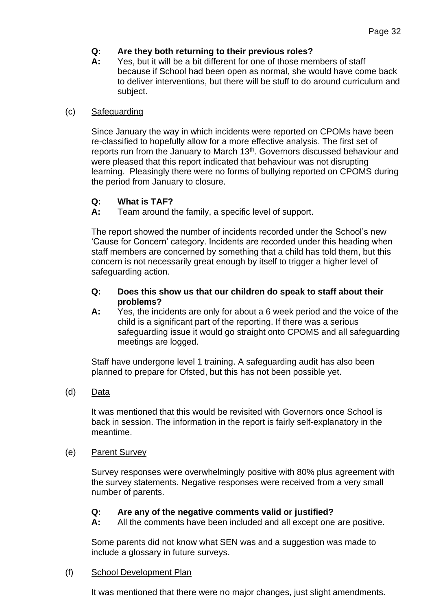# **Q: Are they both returning to their previous roles?**

**A:** Yes, but it will be a bit different for one of those members of staff because if School had been open as normal, she would have come back to deliver interventions, but there will be stuff to do around curriculum and subject.

### (c) Safeguarding

Since January the way in which incidents were reported on CPOMs have been re-classified to hopefully allow for a more effective analysis. The first set of reports run from the January to March 13<sup>th</sup>. Governors discussed behaviour and were pleased that this report indicated that behaviour was not disrupting learning. Pleasingly there were no forms of bullying reported on CPOMS during the period from January to closure.

## **Q: What is TAF?**

**A:** Team around the family, a specific level of support.

The report showed the number of incidents recorded under the School's new 'Cause for Concern' category. Incidents are recorded under this heading when staff members are concerned by something that a child has told them, but this concern is not necessarily great enough by itself to trigger a higher level of safeguarding action.

### **Q: Does this show us that our children do speak to staff about their problems?**

**A:** Yes, the incidents are only for about a 6 week period and the voice of the child is a significant part of the reporting. If there was a serious safeguarding issue it would go straight onto CPOMS and all safeguarding meetings are logged.

Staff have undergone level 1 training. A safeguarding audit has also been planned to prepare for Ofsted, but this has not been possible yet.

## (d) Data

It was mentioned that this would be revisited with Governors once School is back in session. The information in the report is fairly self-explanatory in the meantime.

## (e) Parent Survey

Survey responses were overwhelmingly positive with 80% plus agreement with the survey statements. Negative responses were received from a very small number of parents.

## **Q: Are any of the negative comments valid or justified?**

**A:** All the comments have been included and all except one are positive.

Some parents did not know what SEN was and a suggestion was made to include a glossary in future surveys.

## (f) School Development Plan

It was mentioned that there were no major changes, just slight amendments.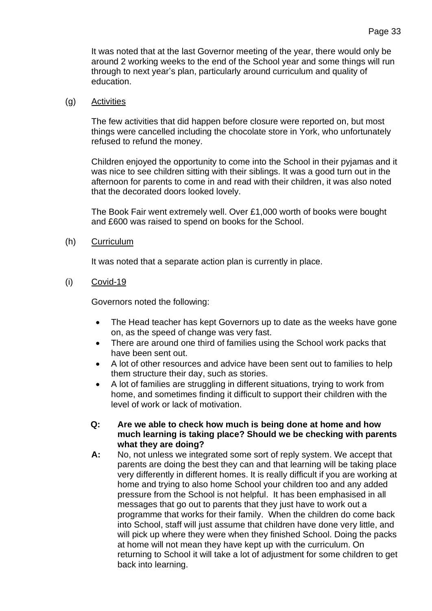It was noted that at the last Governor meeting of the year, there would only be around 2 working weeks to the end of the School year and some things will run through to next year's plan, particularly around curriculum and quality of education.

### (g) Activities

The few activities that did happen before closure were reported on, but most things were cancelled including the chocolate store in York, who unfortunately refused to refund the money.

Children enjoyed the opportunity to come into the School in their pyjamas and it was nice to see children sitting with their siblings. It was a good turn out in the afternoon for parents to come in and read with their children, it was also noted that the decorated doors looked lovely.

The Book Fair went extremely well. Over £1,000 worth of books were bought and £600 was raised to spend on books for the School.

### (h) Curriculum

It was noted that a separate action plan is currently in place.

(i) Covid-19

Governors noted the following:

- The Head teacher has kept Governors up to date as the weeks have gone on, as the speed of change was very fast.
- There are around one third of families using the School work packs that have been sent out.
- A lot of other resources and advice have been sent out to families to help them structure their day, such as stories.
- A lot of families are struggling in different situations, trying to work from home, and sometimes finding it difficult to support their children with the level of work or lack of motivation.

#### **Q: Are we able to check how much is being done at home and how much learning is taking place? Should we be checking with parents what they are doing?**

**A:** No, not unless we integrated some sort of reply system. We accept that parents are doing the best they can and that learning will be taking place very differently in different homes. It is really difficult if you are working at home and trying to also home School your children too and any added pressure from the School is not helpful. It has been emphasised in all messages that go out to parents that they just have to work out a programme that works for their family. When the children do come back into School, staff will just assume that children have done very little, and will pick up where they were when they finished School. Doing the packs at home will not mean they have kept up with the curriculum. On returning to School it will take a lot of adjustment for some children to get back into learning.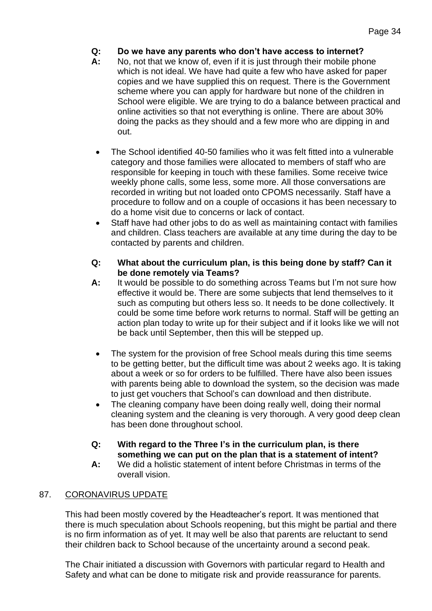- **Q: Do we have any parents who don't have access to internet?**
- **A:** No, not that we know of, even if it is just through their mobile phone which is not ideal. We have had quite a few who have asked for paper copies and we have supplied this on request. There is the Government scheme where you can apply for hardware but none of the children in School were eligible. We are trying to do a balance between practical and online activities so that not everything is online. There are about 30% doing the packs as they should and a few more who are dipping in and out.
	- The School identified 40-50 families who it was felt fitted into a vulnerable category and those families were allocated to members of staff who are responsible for keeping in touch with these families. Some receive twice weekly phone calls, some less, some more. All those conversations are recorded in writing but not loaded onto CPOMS necessarily. Staff have a procedure to follow and on a couple of occasions it has been necessary to do a home visit due to concerns or lack of contact.
	- Staff have had other jobs to do as well as maintaining contact with families and children. Class teachers are available at any time during the day to be contacted by parents and children.
- **Q: What about the curriculum plan, is this being done by staff? Can it be done remotely via Teams?**
- **A:** It would be possible to do something across Teams but I'm not sure how effective it would be. There are some subjects that lend themselves to it such as computing but others less so. It needs to be done collectively. It could be some time before work returns to normal. Staff will be getting an action plan today to write up for their subject and if it looks like we will not be back until September, then this will be stepped up.
- The system for the provision of free School meals during this time seems to be getting better, but the difficult time was about 2 weeks ago. It is taking about a week or so for orders to be fulfilled. There have also been issues with parents being able to download the system, so the decision was made to just get vouchers that School's can download and then distribute.
- The cleaning company have been doing really well, doing their normal cleaning system and the cleaning is very thorough. A very good deep clean has been done throughout school.
- **Q: With regard to the Three I's in the curriculum plan, is there something we can put on the plan that is a statement of intent?**
- **A:** We did a holistic statement of intent before Christmas in terms of the overall vision.

# 87. CORONAVIRUS UPDATE

This had been mostly covered by the Headteacher's report. It was mentioned that there is much speculation about Schools reopening, but this might be partial and there is no firm information as of yet. It may well be also that parents are reluctant to send their children back to School because of the uncertainty around a second peak.

The Chair initiated a discussion with Governors with particular regard to Health and Safety and what can be done to mitigate risk and provide reassurance for parents.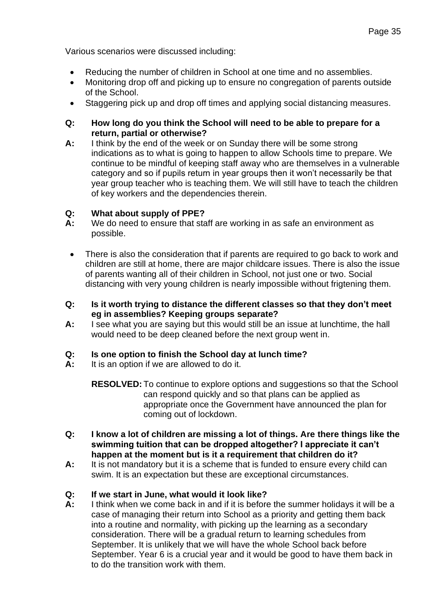- Reducing the number of children in School at one time and no assemblies.
- Monitoring drop off and picking up to ensure no congregation of parents outside of the School.
- Staggering pick up and drop off times and applying social distancing measures.
- **Q: How long do you think the School will need to be able to prepare for a return, partial or otherwise?**
- **A:** I think by the end of the week or on Sunday there will be some strong indications as to what is going to happen to allow Schools time to prepare. We continue to be mindful of keeping staff away who are themselves in a vulnerable category and so if pupils return in year groups then it won't necessarily be that year group teacher who is teaching them. We will still have to teach the children of key workers and the dependencies therein.

# **Q: What about supply of PPE?**

- **A:** We do need to ensure that staff are working in as safe an environment as possible.
- There is also the consideration that if parents are required to go back to work and children are still at home, there are major childcare issues. There is also the issue of parents wanting all of their children in School, not just one or two. Social distancing with very young children is nearly impossible without frigtening them.
- **Q: Is it worth trying to distance the different classes so that they don't meet eg in assemblies? Keeping groups separate?**
- **A:** I see what you are saying but this would still be an issue at lunchtime, the hall would need to be deep cleaned before the next group went in.

# **Q: Is one option to finish the School day at lunch time?**

**A:** It is an option if we are allowed to do it.

**RESOLVED:** To continue to explore options and suggestions so that the School can respond quickly and so that plans can be applied as appropriate once the Government have announced the plan for coming out of lockdown.

- **Q: I know a lot of children are missing a lot of things. Are there things like the swimming tuition that can be dropped altogether? I appreciate it can't happen at the moment but is it a requirement that children do it?**
- **A:** It is not mandatory but it is a scheme that is funded to ensure every child can swim. It is an expectation but these are exceptional circumstances.

# **Q: If we start in June, what would it look like?**

**A:** I think when we come back in and if it is before the summer holidays it will be a case of managing their return into School as a priority and getting them back into a routine and normality, with picking up the learning as a secondary consideration. There will be a gradual return to learning schedules from September. It is unlikely that we will have the whole School back before September. Year 6 is a crucial year and it would be good to have them back in to do the transition work with them.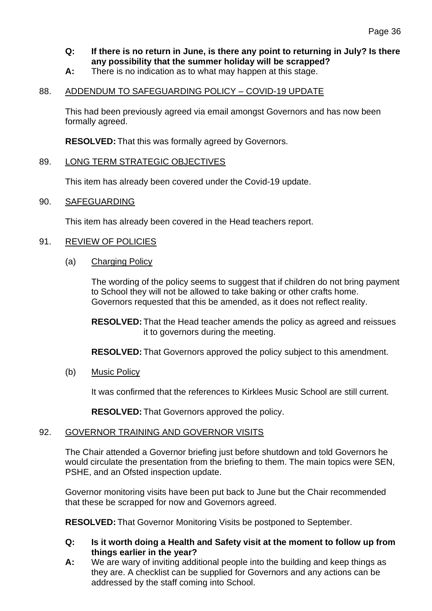# **Q: If there is no return in June, is there any point to returning in July? Is there any possibility that the summer holiday will be scrapped?**

**A:** There is no indication as to what may happen at this stage.

### 88. ADDENDUM TO SAFEGUARDING POLICY – COVID-19 UPDATE

This had been previously agreed via email amongst Governors and has now been formally agreed.

**RESOLVED:** That this was formally agreed by Governors.

### 89. LONG TERM STRATEGIC OBJECTIVES

This item has already been covered under the Covid-19 update.

### 90. SAFEGUARDING

This item has already been covered in the Head teachers report.

### 91. REVIEW OF POLICIES

(a) Charging Policy

The wording of the policy seems to suggest that if children do not bring payment to School they will not be allowed to take baking or other crafts home. Governors requested that this be amended, as it does not reflect reality.

**RESOLVED:** That the Head teacher amends the policy as agreed and reissues it to governors during the meeting.

**RESOLVED:** That Governors approved the policy subject to this amendment.

(b) Music Policy

It was confirmed that the references to Kirklees Music School are still current.

**RESOLVED:** That Governors approved the policy.

### 92. GOVERNOR TRAINING AND GOVERNOR VISITS

The Chair attended a Governor briefing just before shutdown and told Governors he would circulate the presentation from the briefing to them. The main topics were SEN, PSHE, and an Ofsted inspection update.

Governor monitoring visits have been put back to June but the Chair recommended that these be scrapped for now and Governors agreed.

**RESOLVED:** That Governor Monitoring Visits be postponed to September.

- **Q: Is it worth doing a Health and Safety visit at the moment to follow up from things earlier in the year?**
- **A:** We are wary of inviting additional people into the building and keep things as they are. A checklist can be supplied for Governors and any actions can be addressed by the staff coming into School.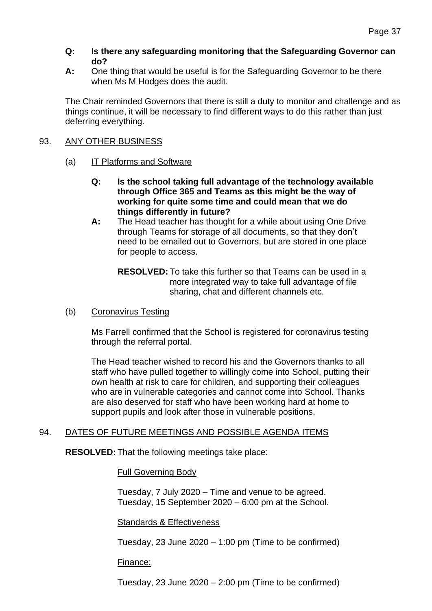### **Q: Is there any safeguarding monitoring that the Safeguarding Governor can do?**

**A:** One thing that would be useful is for the Safeguarding Governor to be there when Ms M Hodges does the audit.

The Chair reminded Governors that there is still a duty to monitor and challenge and as things continue, it will be necessary to find different ways to do this rather than just deferring everything.

### 93. ANY OTHER BUSINESS

- (a) IT Platforms and Software
	- **Q: Is the school taking full advantage of the technology available through Office 365 and Teams as this might be the way of working for quite some time and could mean that we do things differently in future?**
	- **A:** The Head teacher has thought for a while about using One Drive through Teams for storage of all documents, so that they don't need to be emailed out to Governors, but are stored in one place for people to access.

**RESOLVED:** To take this further so that Teams can be used in a more integrated way to take full advantage of file sharing, chat and different channels etc.

### (b) Coronavirus Testing

Ms Farrell confirmed that the School is registered for coronavirus testing through the referral portal.

The Head teacher wished to record his and the Governors thanks to all staff who have pulled together to willingly come into School, putting their own health at risk to care for children, and supporting their colleagues who are in vulnerable categories and cannot come into School. Thanks are also deserved for staff who have been working hard at home to support pupils and look after those in vulnerable positions.

## 94. DATES OF FUTURE MEETINGS AND POSSIBLE AGENDA ITEMS

**RESOLVED:** That the following meetings take place:

### Full Governing Body

Tuesday, 7 July 2020 – Time and venue to be agreed. Tuesday, 15 September 2020 – 6:00 pm at the School.

### Standards & Effectiveness

Tuesday, 23 June 2020 – 1:00 pm (Time to be confirmed)

### Finance:

Tuesday, 23 June 2020 – 2:00 pm (Time to be confirmed)